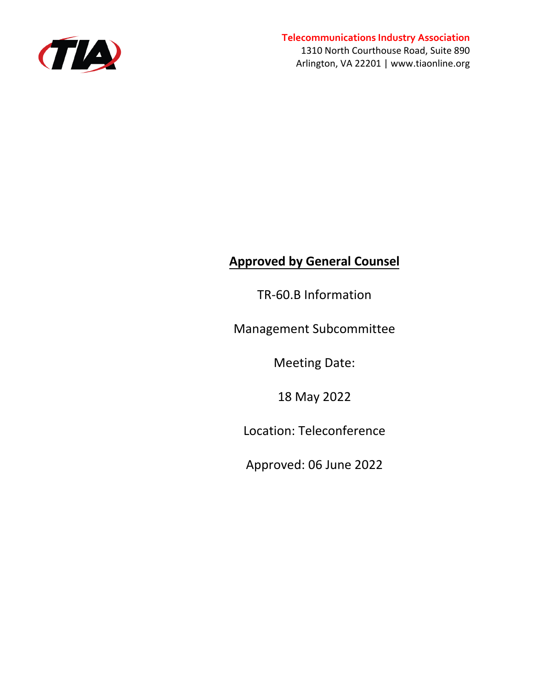

### **Telecommunications Industry Association**

1310 North Courthouse Road, Suite 890 Arlington, VA 22201 | www.tiaonline.org

# **Approved by General Counsel**

TR-60.B Information

Management Subcommittee

Meeting Date:

18 May 2022

Location: Teleconference

Approved: 06 June 2022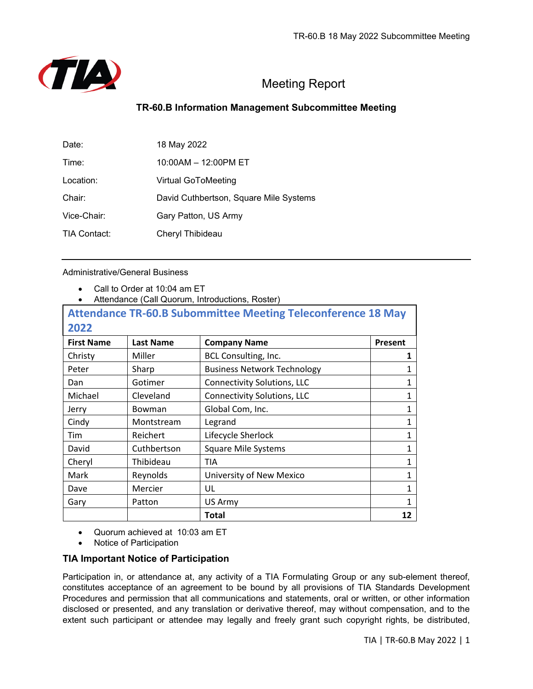

### **TR-60.B Information Management Subcommittee Meeting**

| Date:        | 18 May 2022                            |
|--------------|----------------------------------------|
| Time:        | 10:00AM - 12:00PM ET                   |
| Location:    | <b>Virtual GoToMeeting</b>             |
| Chair:       | David Cuthbertson, Square Mile Systems |
| Vice-Chair:  | Gary Patton, US Army                   |
| TIA Contact: | Cheryl Thibideau                       |

#### Administrative/General Business

- Call to Order at 10:04 am ET
- Attendance (Call Quorum, Introductions, Roster)

|                   |                  | <b>Attendance TR-60.B Subommittee Meeting Teleconference 18 May</b> |              |  |
|-------------------|------------------|---------------------------------------------------------------------|--------------|--|
| 2022              |                  |                                                                     |              |  |
| <b>First Name</b> | <b>Last Name</b> | <b>Company Name</b>                                                 | Present      |  |
| Christy           | Miller           | BCL Consulting, Inc.                                                | 1            |  |
| Peter             | Sharp            | <b>Business Network Technology</b>                                  | 1            |  |
| Dan               | Gotimer          | <b>Connectivity Solutions, LLC</b>                                  | $\mathbf{1}$ |  |
| Michael           | Cleveland        | <b>Connectivity Solutions, LLC</b>                                  | 1            |  |
| Jerry             | <b>Bowman</b>    | Global Com, Inc.                                                    | 1            |  |
| Cindy             | Montstream       | Legrand                                                             | $\mathbf{1}$ |  |
| Tim               | Reichert         | Lifecycle Sherlock                                                  | $\mathbf{1}$ |  |
| David             | Cuthbertson      | <b>Square Mile Systems</b>                                          | $\mathbf{1}$ |  |
| Cheryl            | Thibideau        | <b>TIA</b>                                                          | $\mathbf{1}$ |  |
| Mark              | Reynolds         | University of New Mexico                                            | $\mathbf{1}$ |  |
| Dave              | Mercier          | UL                                                                  | 1            |  |
| Gary              | Patton           | US Army                                                             | 1            |  |
|                   |                  | Total                                                               | 12           |  |

• Quorum achieved at 10:03 am ET

• Notice of Participation

#### **TIA Important Notice of Participation**

Participation in, or attendance at, any activity of a TIA Formulating Group or any sub-element thereof, constitutes acceptance of an agreement to be bound by all provisions of TIA Standards Development Procedures and permission that all communications and statements, oral or written, or other information disclosed or presented, and any translation or derivative thereof, may without compensation, and to the extent such participant or attendee may legally and freely grant such copyright rights, be distributed,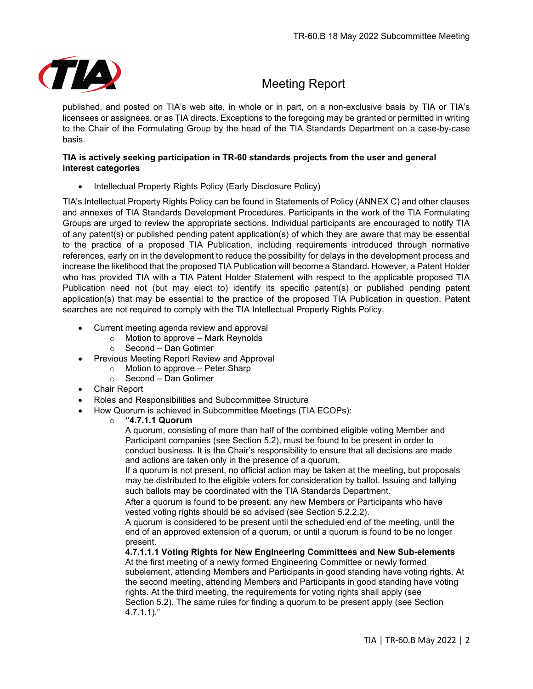

published, and posted on TIA's web site, in whole or in part, on a non-exclusive basis by TIA or TIA's licensees or assignees, or as TIA directs. Exceptions to the foregoing may be granted or permitted in writing to the Chair of the Formulating Group by the head of the TIA Standards Department on a case-by-case basis.

#### **TIA is actively seeking participation in TR-60 standards projects from the user and general interest categories**

• Intellectual Property Rights Policy (Early Disclosure Policy)

TIA's Intellectual Property Rights Policy can be found in Statements of Policy (ANNEX C) and other clauses and annexes of TIA Standards Development Procedures. Participants in the work of the TIA Formulating Groups are urged to review the appropriate sections. Individual participants are encouraged to notify TIA of any patent(s) or published pending patent application(s) of which they are aware that may be essential to the practice of a proposed TIA Publication, including requirements introduced through normative references, early on in the development to reduce the possibility for delays in the development process and increase the likelihood that the proposed TIA Publication will become a Standard. However, a Patent Holder who has provided TIA with a TIA Patent Holder Statement with respect to the applicable proposed TIA Publication need not (but may elect to) identify its specific patent(s) or published pending patent application(s) that may be essential to the practice of the proposed TIA Publication in question. Patent searches are not required to comply with the TIA Intellectual Property Rights Policy.

- Current meeting agenda review and approval
	- $\circ$  Motion to approve Mark Reynolds
	- o Second Dan Gotimer
- Previous Meeting Report Review and Approval
	- o Motion to approve Peter Sharp
	- o Second Dan Gotimer
- Chair Report
- Roles and Responsibilities and Subcommittee Structure
- How Quorum is achieved in Subcommittee Meetings (TIA ECOPs):
	- o **"4.7.1.1 Quorum**

A quorum, consisting of more than half of the combined eligible voting Member and Participant companies (see Section 5.2), must be found to be present in order to conduct business. It is the Chair's responsibility to ensure that all decisions are made and actions are taken only in the presence of a quorum.

If a quorum is not present, no official action may be taken at the meeting, but proposals may be distributed to the eligible voters for consideration by ballot. Issuing and tallying such ballots may be coordinated with the TIA Standards Department.

After a quorum is found to be present, any new Members or Participants who have vested voting rights should be so advised (see Section 5.2.2.2).

A quorum is considered to be present until the scheduled end of the meeting, until the end of an approved extension of a quorum, or until a quorum is found to be no longer present.

**4.7.1.1.1 Voting Rights for New Engineering Committees and New Sub-elements** At the first meeting of a newly formed Engineering Committee or newly formed subelement, attending Members and Participants in good standing have voting rights. At the second meeting, attending Members and Participants in good standing have voting rights. At the third meeting, the requirements for voting rights shall apply (see Section 5.2). The same rules for finding a quorum to be present apply (see Section 4.7.1.1)."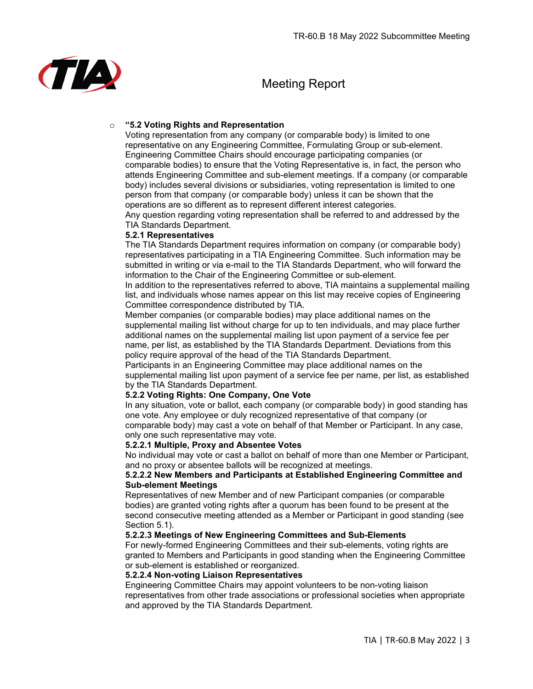

#### o **"5.2 Voting Rights and Representation**

Voting representation from any company (or comparable body) is limited to one representative on any Engineering Committee, Formulating Group or sub-element. Engineering Committee Chairs should encourage participating companies (or comparable bodies) to ensure that the Voting Representative is, in fact, the person who attends Engineering Committee and sub-element meetings. If a company (or comparable body) includes several divisions or subsidiaries, voting representation is limited to one person from that company (or comparable body) unless it can be shown that the operations are so different as to represent different interest categories.

Any question regarding voting representation shall be referred to and addressed by the TIA Standards Department.

#### **5.2.1 Representatives**

The TIA Standards Department requires information on company (or comparable body) representatives participating in a TIA Engineering Committee. Such information may be submitted in writing or via e-mail to the TIA Standards Department, who will forward the information to the Chair of the Engineering Committee or sub-element.

In addition to the representatives referred to above, TIA maintains a supplemental mailing list, and individuals whose names appear on this list may receive copies of Engineering Committee correspondence distributed by TIA.

Member companies (or comparable bodies) may place additional names on the supplemental mailing list without charge for up to ten individuals, and may place further additional names on the supplemental mailing list upon payment of a service fee per name, per list, as established by the TIA Standards Department. Deviations from this policy require approval of the head of the TIA Standards Department.

Participants in an Engineering Committee may place additional names on the supplemental mailing list upon payment of a service fee per name, per list, as established by the TIA Standards Department.

#### **5.2.2 Voting Rights: One Company, One Vote**

In any situation, vote or ballot, each company (or comparable body) in good standing has one vote. Any employee or duly recognized representative of that company (or comparable body) may cast a vote on behalf of that Member or Participant. In any case, only one such representative may vote.

#### **5.2.2.1 Multiple, Proxy and Absentee Votes**

No individual may vote or cast a ballot on behalf of more than one Member or Participant, and no proxy or absentee ballots will be recognized at meetings.

#### **5.2.2.2 New Members and Participants at Established Engineering Committee and Sub-element Meetings**

Representatives of new Member and of new Participant companies (or comparable bodies) are granted voting rights after a quorum has been found to be present at the second consecutive meeting attended as a Member or Participant in good standing (see Section 5.1).

#### **5.2.2.3 Meetings of New Engineering Committees and Sub-Elements**

For newly-formed Engineering Committees and their sub-elements, voting rights are granted to Members and Participants in good standing when the Engineering Committee or sub-element is established or reorganized.

#### **5.2.2.4 Non-voting Liaison Representatives**

Engineering Committee Chairs may appoint volunteers to be non-voting liaison representatives from other trade associations or professional societies when appropriate and approved by the TIA Standards Department.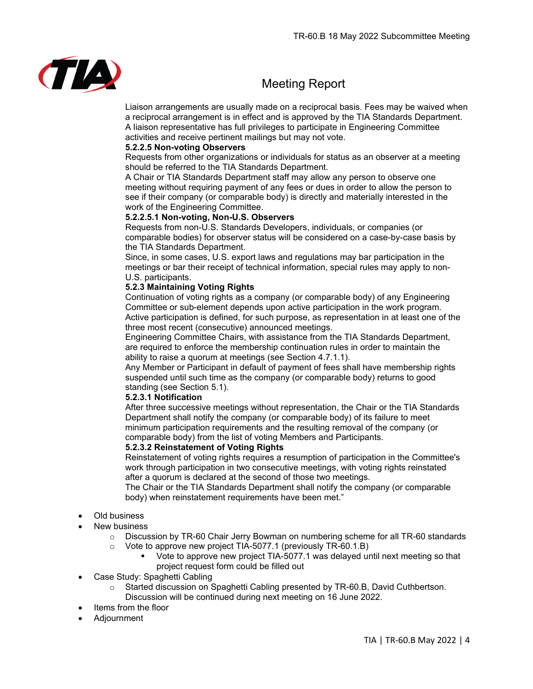

Liaison arrangements are usually made on a reciprocal basis. Fees may be waived when a reciprocal arrangement is in effect and is approved by the TIA Standards Department. A liaison representative has full privileges to participate in Engineering Committee activities and receive pertinent mailings but may not vote.

#### **5.2.2.5 Non-voting Observers**

Requests from other organizations or individuals for status as an observer at a meeting should be referred to the TIA Standards Department.

A Chair or TIA Standards Department staff may allow any person to observe one meeting without requiring payment of any fees or dues in order to allow the person to see if their company (or comparable body) is directly and materially interested in the work of the Engineering Committee.

#### **5.2.2.5.1 Non-voting, Non-U.S. Observers**

Requests from non-U.S. Standards Developers, individuals, or companies (or comparable bodies) for observer status will be considered on a case-by-case basis by the TIA Standards Department.

Since, in some cases, U.S. export laws and regulations may bar participation in the meetings or bar their receipt of technical information, special rules may apply to non-U.S. participants.

#### **5.2.3 Maintaining Voting Rights**

Continuation of voting rights as a company (or comparable body) of any Engineering Committee or sub-element depends upon active participation in the work program. Active participation is defined, for such purpose, as representation in at least one of the three most recent (consecutive) announced meetings.

Engineering Committee Chairs, with assistance from the TIA Standards Department, are required to enforce the membership continuation rules in order to maintain the ability to raise a quorum at meetings (see Section 4.7.1.1).

Any Member or Participant in default of payment of fees shall have membership rights suspended until such time as the company (or comparable body) returns to good standing (see Section 5.1).

#### **5.2.3.1 Notification**

After three successive meetings without representation, the Chair or the TIA Standards Department shall notify the company (or comparable body) of its failure to meet minimum participation requirements and the resulting removal of the company (or comparable body) from the list of voting Members and Participants.

#### **5.2.3.2 Reinstatement of Voting Rights**

Reinstatement of voting rights requires a resumption of participation in the Committee's work through participation in two consecutive meetings, with voting rights reinstated after a quorum is declared at the second of those two meetings.

The Chair or the TIA Standards Department shall notify the company (or comparable body) when reinstatement requirements have been met."

#### • Old business

- **New business** 
	- $\circ$  Discussion by TR-60 Chair Jerry Bowman on numbering scheme for all TR-60 standards o Vote to approve new project TIA-5077.1 (previously TR-60.1.B)
		- Vote to approve new project TIA-5077.1 was delayed until next meeting so that project request form could be filled out
- Case Study: Spaghetti Cabling
	- o Started discussion on Spaghetti Cabling presented by TR-60.B, David Cuthbertson. Discussion will be continued during next meeting on 16 June 2022.
- Items from the floor
- Adjournment